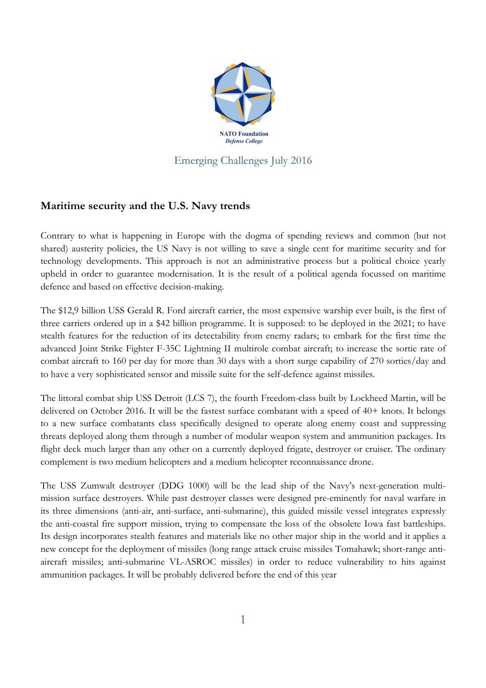

## **Maritime security and the U.S. Navy trends**

Contrary to what is happening in Europe with the dogma of spending reviews and common (but not shared) austerity policies, the US Navy is not willing to save a single cent for maritime security and for technology developments. This approach is not an administrative process but a political choice yearly upheld in order to guarantee modernisation. It is the result of a political agenda focussed on maritime defence and based on effective decision-making.

The \$12,9 billion USS Gerald R. Ford aircraft carrier, the most expensive warship ever built, is the first of three carriers ordered up in a \$42 billion programme. It is supposed: to be deployed in the 2021; to have stealth features for the reduction of its detectability from enemy radars; to embark for the first time the advanced Joint Strike Fighter F-35C Lightning II multirole combat aircraft; to increase the sortie rate of combat aircraft to 160 per day for more than 30 days with a short surge capability of 270 sorties/day and to have a very sophisticated sensor and missile suite for the self-defence against missiles.

The littoral combat ship USS Detroit (LCS 7), the fourth Freedom-class built by Lockheed Martin, will be delivered on October 2016. It will be the fastest surface combatant with a speed of 40+ knots. It belongs to a new surface combatants class specifically designed to operate along enemy coast and suppressing threats deployed along them through a number of modular weapon system and ammunition packages. Its flight deck much larger than any other on a currently deployed frigate, destroyer or cruiser. The ordinary complement is two medium helicopters and a medium helicopter reconnaissance drone.

The USS Zumwalt destroyer (DDG 1000) will be the lead ship of the Navy's next-generation multimission surface destroyers. While past destroyer classes were designed pre-eminently for naval warfare in its three dimensions (anti-air, anti-surface, anti-submarine), this guided missile vessel integrates expressly the anti-coastal fire support mission, trying to compensate the loss of the obsolete Iowa fast battleships. Its design incorporates stealth features and materials like no other major ship in the world and it applies a new concept for the deployment of missiles (long range attack cruise missiles Tomahawk; short-range antiaircraft missiles; anti-submarine VL-ASROC missiles) in order to reduce vulnerability to hits against ammunition packages. It will be probably delivered before the end of this year